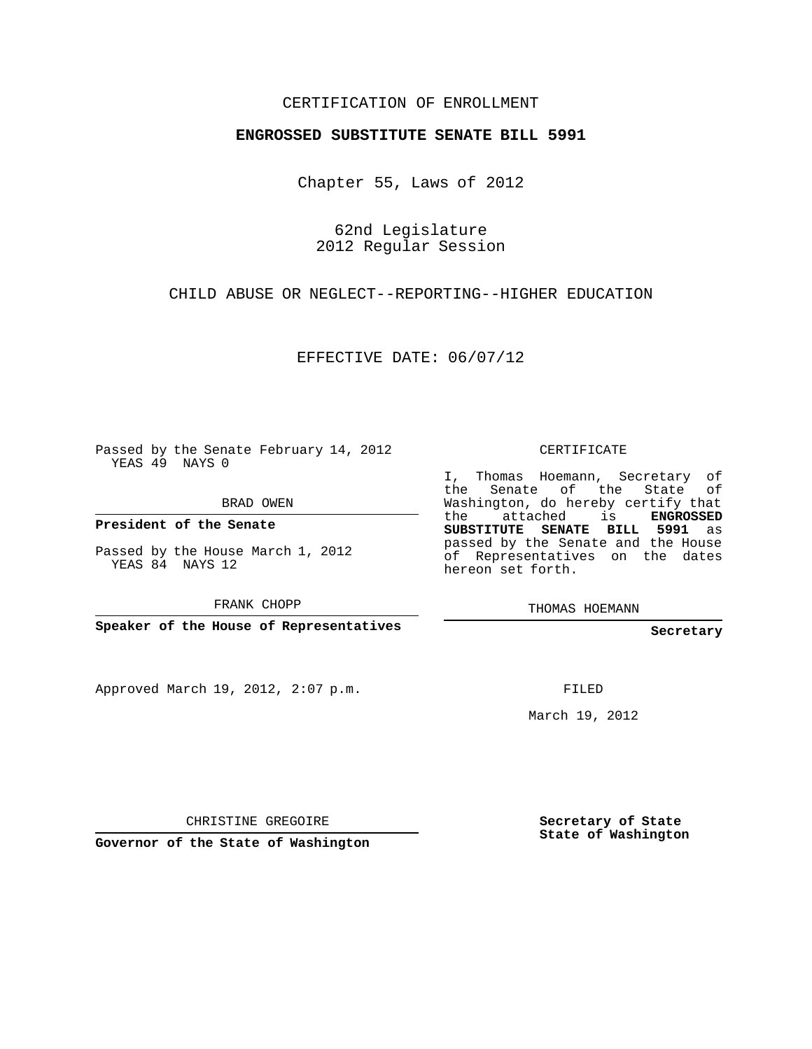## CERTIFICATION OF ENROLLMENT

## **ENGROSSED SUBSTITUTE SENATE BILL 5991**

Chapter 55, Laws of 2012

62nd Legislature 2012 Regular Session

CHILD ABUSE OR NEGLECT--REPORTING--HIGHER EDUCATION

EFFECTIVE DATE: 06/07/12

Passed by the Senate February 14, 2012 YEAS 49 NAYS 0

BRAD OWEN

**President of the Senate**

Passed by the House March 1, 2012 YEAS 84 NAYS 12

FRANK CHOPP

**Speaker of the House of Representatives**

Approved March 19, 2012, 2:07 p.m.

CERTIFICATE

I, Thomas Hoemann, Secretary of the Senate of the State of Washington, do hereby certify that the attached is **ENGROSSED SUBSTITUTE SENATE BILL 5991** as passed by the Senate and the House of Representatives on the dates hereon set forth.

THOMAS HOEMANN

**Secretary**

FILED

March 19, 2012

CHRISTINE GREGOIRE

**Governor of the State of Washington**

**Secretary of State State of Washington**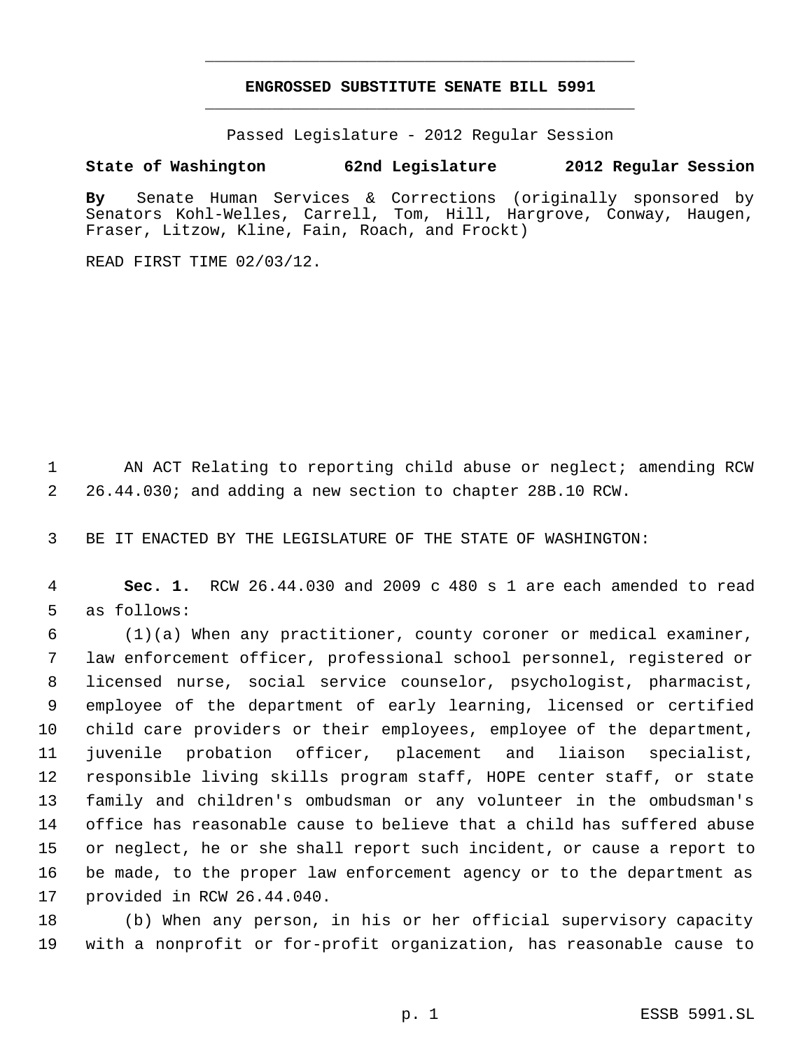## **ENGROSSED SUBSTITUTE SENATE BILL 5991** \_\_\_\_\_\_\_\_\_\_\_\_\_\_\_\_\_\_\_\_\_\_\_\_\_\_\_\_\_\_\_\_\_\_\_\_\_\_\_\_\_\_\_\_\_

\_\_\_\_\_\_\_\_\_\_\_\_\_\_\_\_\_\_\_\_\_\_\_\_\_\_\_\_\_\_\_\_\_\_\_\_\_\_\_\_\_\_\_\_\_

Passed Legislature - 2012 Regular Session

## **State of Washington 62nd Legislature 2012 Regular Session**

**By** Senate Human Services & Corrections (originally sponsored by Senators Kohl-Welles, Carrell, Tom, Hill, Hargrove, Conway, Haugen, Fraser, Litzow, Kline, Fain, Roach, and Frockt)

READ FIRST TIME 02/03/12.

 AN ACT Relating to reporting child abuse or neglect; amending RCW 26.44.030; and adding a new section to chapter 28B.10 RCW.

BE IT ENACTED BY THE LEGISLATURE OF THE STATE OF WASHINGTON:

 **Sec. 1.** RCW 26.44.030 and 2009 c 480 s 1 are each amended to read as follows:

 (1)(a) When any practitioner, county coroner or medical examiner, law enforcement officer, professional school personnel, registered or licensed nurse, social service counselor, psychologist, pharmacist, employee of the department of early learning, licensed or certified child care providers or their employees, employee of the department, juvenile probation officer, placement and liaison specialist, responsible living skills program staff, HOPE center staff, or state family and children's ombudsman or any volunteer in the ombudsman's office has reasonable cause to believe that a child has suffered abuse or neglect, he or she shall report such incident, or cause a report to be made, to the proper law enforcement agency or to the department as provided in RCW 26.44.040.

 (b) When any person, in his or her official supervisory capacity with a nonprofit or for-profit organization, has reasonable cause to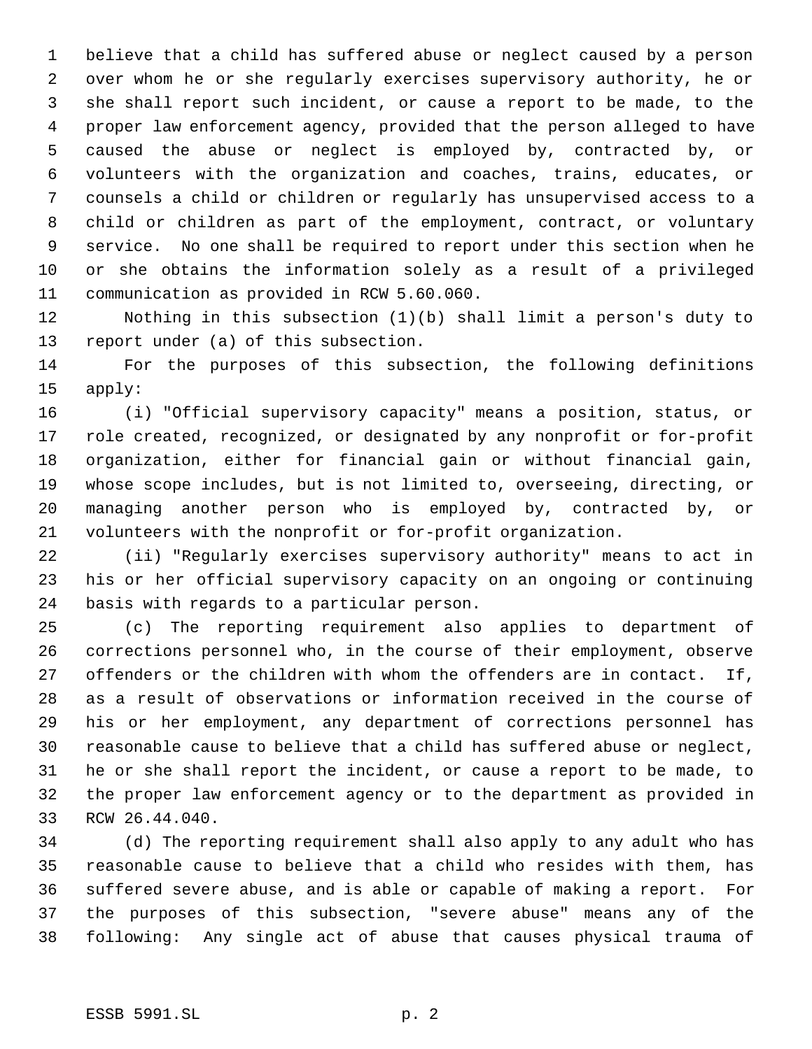believe that a child has suffered abuse or neglect caused by a person over whom he or she regularly exercises supervisory authority, he or she shall report such incident, or cause a report to be made, to the proper law enforcement agency, provided that the person alleged to have caused the abuse or neglect is employed by, contracted by, or volunteers with the organization and coaches, trains, educates, or counsels a child or children or regularly has unsupervised access to a child or children as part of the employment, contract, or voluntary service. No one shall be required to report under this section when he or she obtains the information solely as a result of a privileged communication as provided in RCW 5.60.060.

 Nothing in this subsection (1)(b) shall limit a person's duty to report under (a) of this subsection.

 For the purposes of this subsection, the following definitions apply:

 (i) "Official supervisory capacity" means a position, status, or role created, recognized, or designated by any nonprofit or for-profit organization, either for financial gain or without financial gain, whose scope includes, but is not limited to, overseeing, directing, or managing another person who is employed by, contracted by, or volunteers with the nonprofit or for-profit organization.

 (ii) "Regularly exercises supervisory authority" means to act in his or her official supervisory capacity on an ongoing or continuing basis with regards to a particular person.

 (c) The reporting requirement also applies to department of corrections personnel who, in the course of their employment, observe offenders or the children with whom the offenders are in contact. If, as a result of observations or information received in the course of his or her employment, any department of corrections personnel has reasonable cause to believe that a child has suffered abuse or neglect, he or she shall report the incident, or cause a report to be made, to the proper law enforcement agency or to the department as provided in RCW 26.44.040.

 (d) The reporting requirement shall also apply to any adult who has reasonable cause to believe that a child who resides with them, has suffered severe abuse, and is able or capable of making a report. For the purposes of this subsection, "severe abuse" means any of the following: Any single act of abuse that causes physical trauma of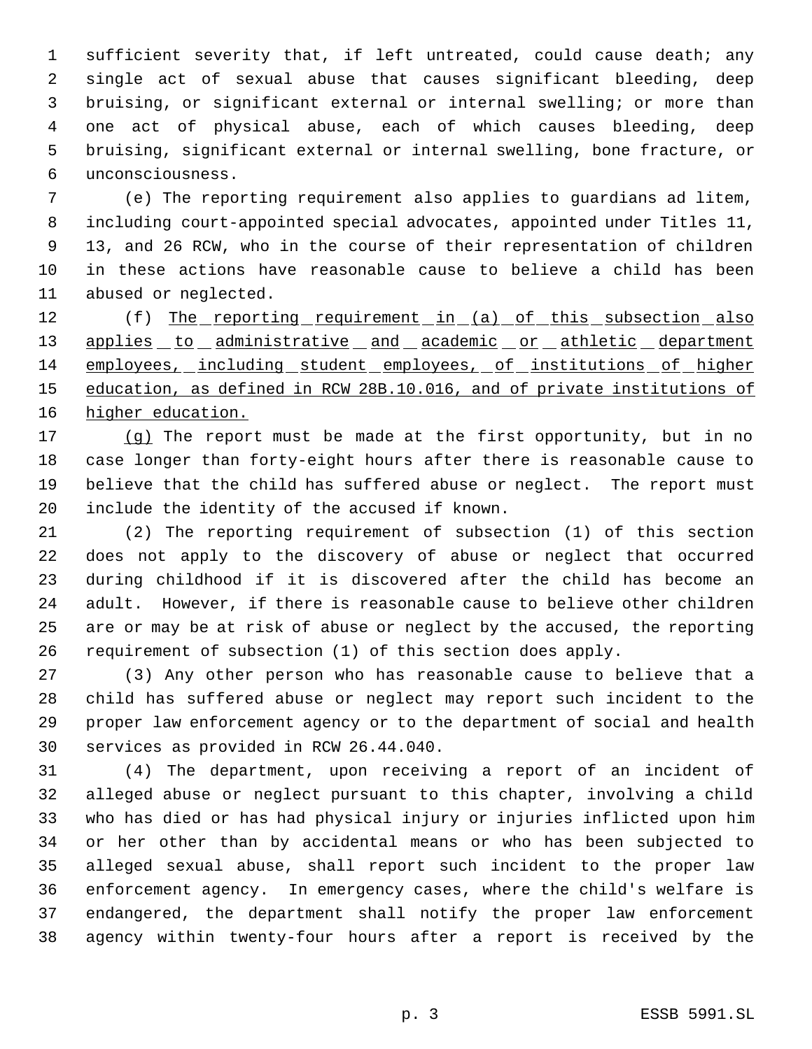sufficient severity that, if left untreated, could cause death; any single act of sexual abuse that causes significant bleeding, deep bruising, or significant external or internal swelling; or more than one act of physical abuse, each of which causes bleeding, deep bruising, significant external or internal swelling, bone fracture, or unconsciousness.

 (e) The reporting requirement also applies to guardians ad litem, including court-appointed special advocates, appointed under Titles 11, 13, and 26 RCW, who in the course of their representation of children in these actions have reasonable cause to believe a child has been abused or neglected.

12 (f) The reporting requirement in (a) of this subsection also 13 applies to administrative and academic or athletic department employees, including student employees, of institutions of higher education, as defined in RCW 28B.10.016, and of private institutions of higher education.

 (g) The report must be made at the first opportunity, but in no case longer than forty-eight hours after there is reasonable cause to believe that the child has suffered abuse or neglect. The report must include the identity of the accused if known.

 (2) The reporting requirement of subsection (1) of this section does not apply to the discovery of abuse or neglect that occurred during childhood if it is discovered after the child has become an adult. However, if there is reasonable cause to believe other children are or may be at risk of abuse or neglect by the accused, the reporting requirement of subsection (1) of this section does apply.

 (3) Any other person who has reasonable cause to believe that a child has suffered abuse or neglect may report such incident to the proper law enforcement agency or to the department of social and health services as provided in RCW 26.44.040.

 (4) The department, upon receiving a report of an incident of alleged abuse or neglect pursuant to this chapter, involving a child who has died or has had physical injury or injuries inflicted upon him or her other than by accidental means or who has been subjected to alleged sexual abuse, shall report such incident to the proper law enforcement agency. In emergency cases, where the child's welfare is endangered, the department shall notify the proper law enforcement agency within twenty-four hours after a report is received by the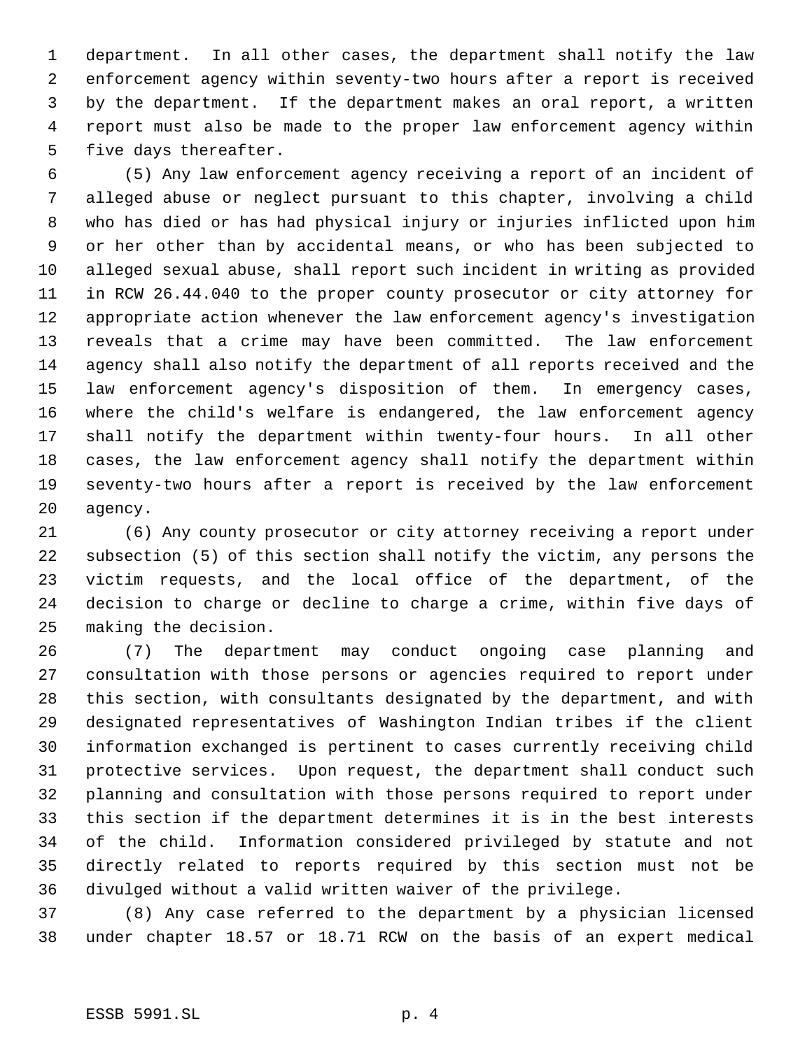department. In all other cases, the department shall notify the law enforcement agency within seventy-two hours after a report is received by the department. If the department makes an oral report, a written report must also be made to the proper law enforcement agency within five days thereafter.

 (5) Any law enforcement agency receiving a report of an incident of alleged abuse or neglect pursuant to this chapter, involving a child who has died or has had physical injury or injuries inflicted upon him or her other than by accidental means, or who has been subjected to alleged sexual abuse, shall report such incident in writing as provided in RCW 26.44.040 to the proper county prosecutor or city attorney for appropriate action whenever the law enforcement agency's investigation reveals that a crime may have been committed. The law enforcement agency shall also notify the department of all reports received and the law enforcement agency's disposition of them. In emergency cases, where the child's welfare is endangered, the law enforcement agency shall notify the department within twenty-four hours. In all other cases, the law enforcement agency shall notify the department within seventy-two hours after a report is received by the law enforcement agency.

 (6) Any county prosecutor or city attorney receiving a report under subsection (5) of this section shall notify the victim, any persons the victim requests, and the local office of the department, of the decision to charge or decline to charge a crime, within five days of making the decision.

 (7) The department may conduct ongoing case planning and consultation with those persons or agencies required to report under this section, with consultants designated by the department, and with designated representatives of Washington Indian tribes if the client information exchanged is pertinent to cases currently receiving child protective services. Upon request, the department shall conduct such planning and consultation with those persons required to report under this section if the department determines it is in the best interests of the child. Information considered privileged by statute and not directly related to reports required by this section must not be divulged without a valid written waiver of the privilege.

 (8) Any case referred to the department by a physician licensed under chapter 18.57 or 18.71 RCW on the basis of an expert medical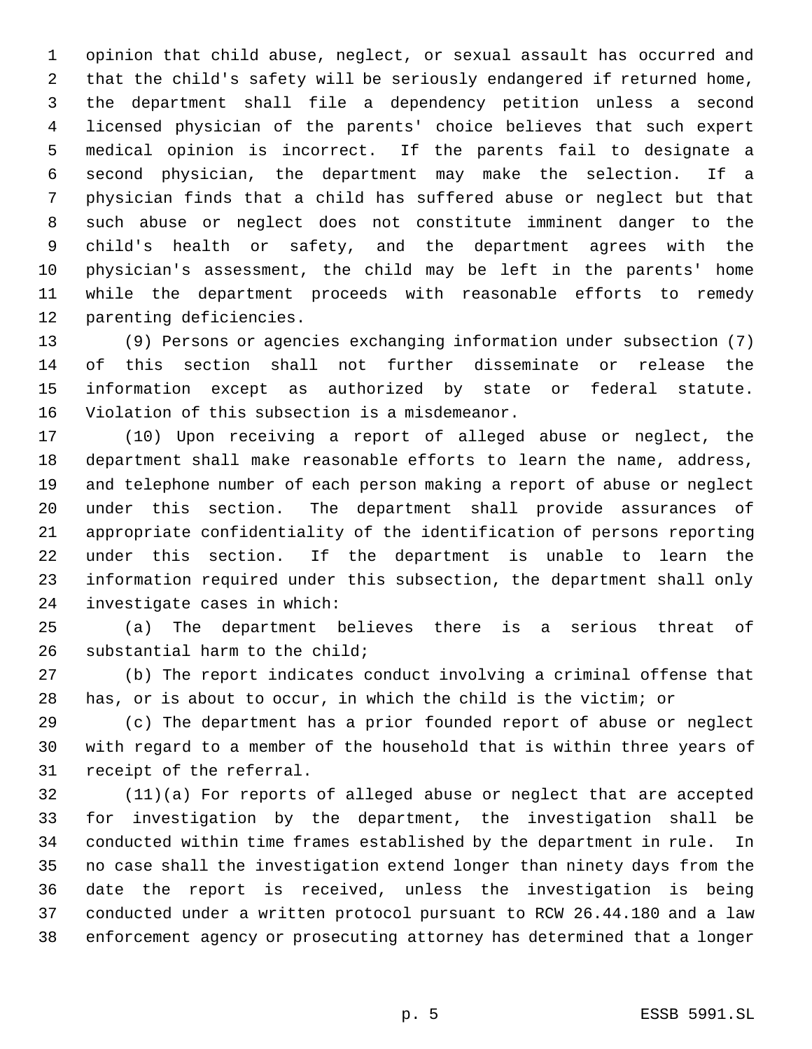opinion that child abuse, neglect, or sexual assault has occurred and that the child's safety will be seriously endangered if returned home, the department shall file a dependency petition unless a second licensed physician of the parents' choice believes that such expert medical opinion is incorrect. If the parents fail to designate a second physician, the department may make the selection. If a physician finds that a child has suffered abuse or neglect but that such abuse or neglect does not constitute imminent danger to the child's health or safety, and the department agrees with the physician's assessment, the child may be left in the parents' home while the department proceeds with reasonable efforts to remedy parenting deficiencies.

 (9) Persons or agencies exchanging information under subsection (7) of this section shall not further disseminate or release the information except as authorized by state or federal statute. Violation of this subsection is a misdemeanor.

 (10) Upon receiving a report of alleged abuse or neglect, the department shall make reasonable efforts to learn the name, address, and telephone number of each person making a report of abuse or neglect under this section. The department shall provide assurances of appropriate confidentiality of the identification of persons reporting under this section. If the department is unable to learn the information required under this subsection, the department shall only investigate cases in which:

 (a) The department believes there is a serious threat of substantial harm to the child;

 (b) The report indicates conduct involving a criminal offense that has, or is about to occur, in which the child is the victim; or

 (c) The department has a prior founded report of abuse or neglect with regard to a member of the household that is within three years of receipt of the referral.

 (11)(a) For reports of alleged abuse or neglect that are accepted for investigation by the department, the investigation shall be conducted within time frames established by the department in rule. In no case shall the investigation extend longer than ninety days from the date the report is received, unless the investigation is being conducted under a written protocol pursuant to RCW 26.44.180 and a law enforcement agency or prosecuting attorney has determined that a longer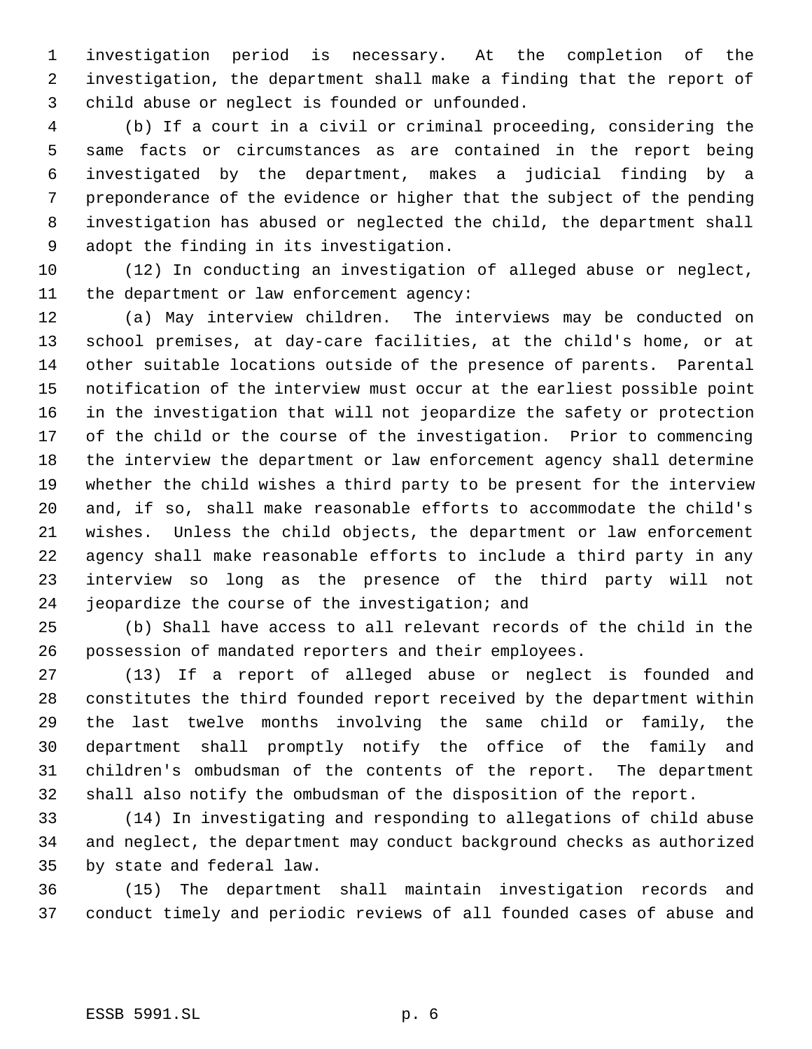investigation period is necessary. At the completion of the investigation, the department shall make a finding that the report of child abuse or neglect is founded or unfounded.

 (b) If a court in a civil or criminal proceeding, considering the same facts or circumstances as are contained in the report being investigated by the department, makes a judicial finding by a preponderance of the evidence or higher that the subject of the pending investigation has abused or neglected the child, the department shall adopt the finding in its investigation.

 (12) In conducting an investigation of alleged abuse or neglect, the department or law enforcement agency:

 (a) May interview children. The interviews may be conducted on school premises, at day-care facilities, at the child's home, or at other suitable locations outside of the presence of parents. Parental notification of the interview must occur at the earliest possible point in the investigation that will not jeopardize the safety or protection of the child or the course of the investigation. Prior to commencing the interview the department or law enforcement agency shall determine whether the child wishes a third party to be present for the interview and, if so, shall make reasonable efforts to accommodate the child's wishes. Unless the child objects, the department or law enforcement agency shall make reasonable efforts to include a third party in any interview so long as the presence of the third party will not jeopardize the course of the investigation; and

 (b) Shall have access to all relevant records of the child in the possession of mandated reporters and their employees.

 (13) If a report of alleged abuse or neglect is founded and constitutes the third founded report received by the department within the last twelve months involving the same child or family, the department shall promptly notify the office of the family and children's ombudsman of the contents of the report. The department shall also notify the ombudsman of the disposition of the report.

 (14) In investigating and responding to allegations of child abuse and neglect, the department may conduct background checks as authorized by state and federal law.

 (15) The department shall maintain investigation records and conduct timely and periodic reviews of all founded cases of abuse and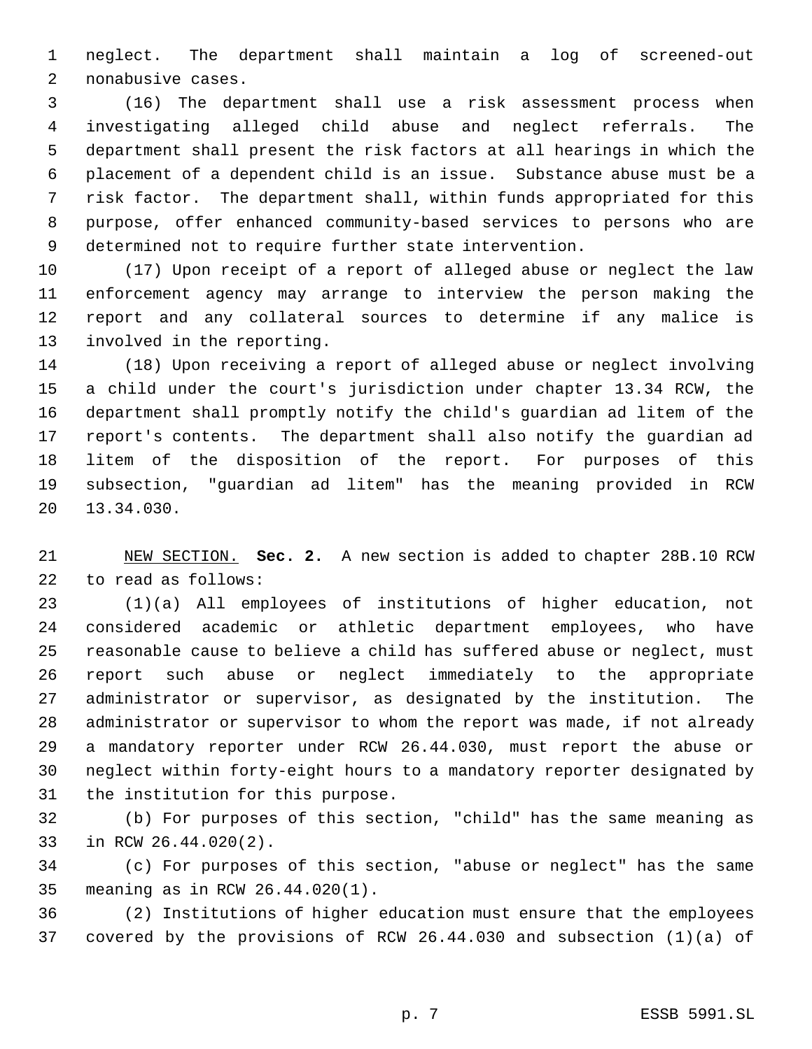neglect. The department shall maintain a log of screened-out nonabusive cases.

 (16) The department shall use a risk assessment process when investigating alleged child abuse and neglect referrals. The department shall present the risk factors at all hearings in which the placement of a dependent child is an issue. Substance abuse must be a risk factor. The department shall, within funds appropriated for this purpose, offer enhanced community-based services to persons who are determined not to require further state intervention.

 (17) Upon receipt of a report of alleged abuse or neglect the law enforcement agency may arrange to interview the person making the report and any collateral sources to determine if any malice is involved in the reporting.

 (18) Upon receiving a report of alleged abuse or neglect involving a child under the court's jurisdiction under chapter 13.34 RCW, the department shall promptly notify the child's guardian ad litem of the report's contents. The department shall also notify the guardian ad litem of the disposition of the report. For purposes of this subsection, "guardian ad litem" has the meaning provided in RCW 13.34.030.

 NEW SECTION. **Sec. 2.** A new section is added to chapter 28B.10 RCW to read as follows:

 (1)(a) All employees of institutions of higher education, not considered academic or athletic department employees, who have reasonable cause to believe a child has suffered abuse or neglect, must report such abuse or neglect immediately to the appropriate administrator or supervisor, as designated by the institution. The administrator or supervisor to whom the report was made, if not already a mandatory reporter under RCW 26.44.030, must report the abuse or neglect within forty-eight hours to a mandatory reporter designated by the institution for this purpose.

 (b) For purposes of this section, "child" has the same meaning as in RCW 26.44.020(2).

 (c) For purposes of this section, "abuse or neglect" has the same meaning as in RCW 26.44.020(1).

 (2) Institutions of higher education must ensure that the employees covered by the provisions of RCW 26.44.030 and subsection (1)(a) of